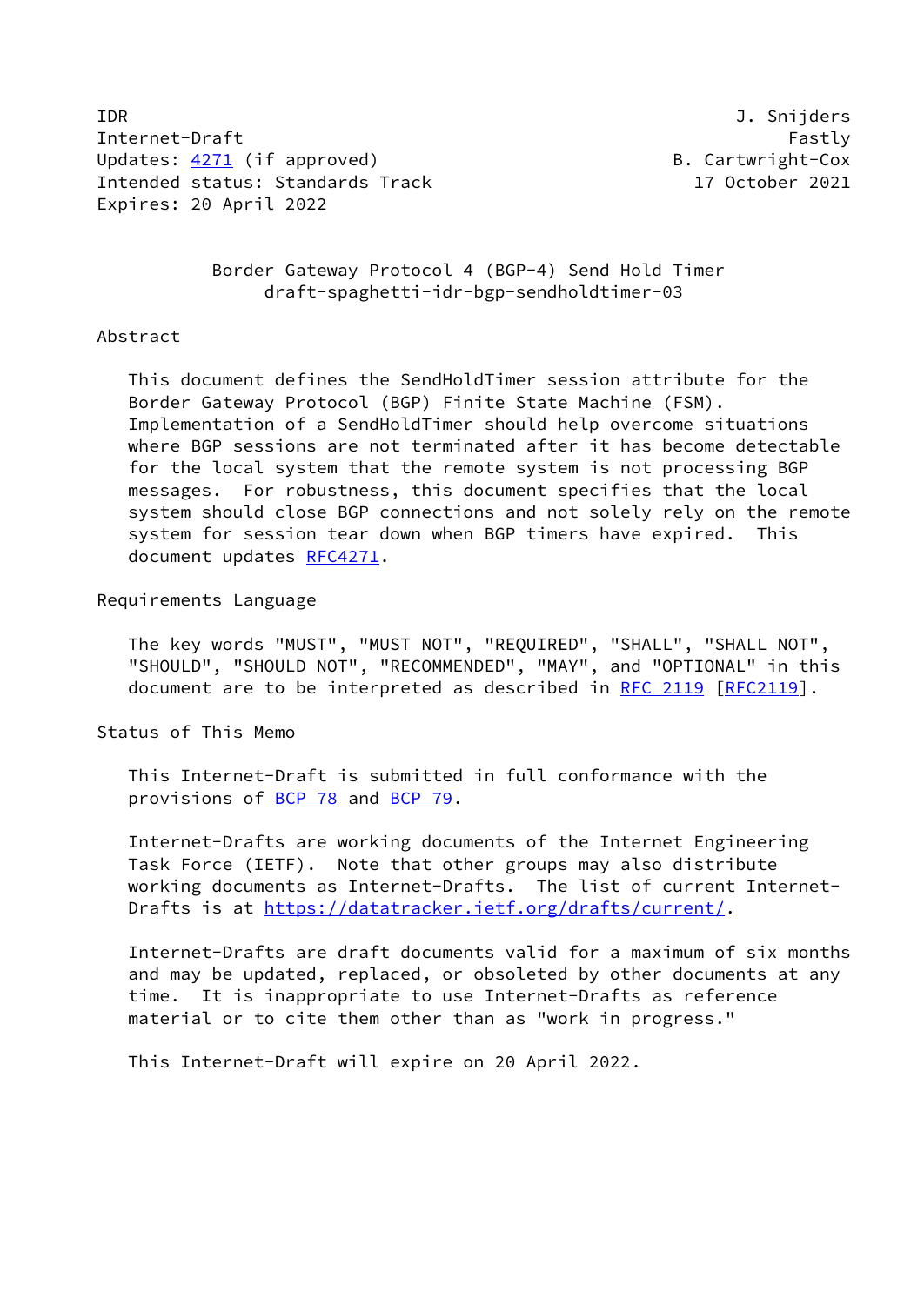IDR J. Snijders Internet-Draft Fastly Fastly Updates: [4271](https://datatracker.ietf.org/doc/pdf/rfc4271) (if approved) B. Cartwright-Cox Intended status: Standards Track 17 October 2021 Expires: 20 April 2022

 Border Gateway Protocol 4 (BGP-4) Send Hold Timer draft-spaghetti-idr-bgp-sendholdtimer-03

### Abstract

 This document defines the SendHoldTimer session attribute for the Border Gateway Protocol (BGP) Finite State Machine (FSM). Implementation of a SendHoldTimer should help overcome situations where BGP sessions are not terminated after it has become detectable for the local system that the remote system is not processing BGP messages. For robustness, this document specifies that the local system should close BGP connections and not solely rely on the remote system for session tear down when BGP timers have expired. This document updates [RFC4271](https://datatracker.ietf.org/doc/pdf/rfc4271).

## Requirements Language

 The key words "MUST", "MUST NOT", "REQUIRED", "SHALL", "SHALL NOT", "SHOULD", "SHOULD NOT", "RECOMMENDED", "MAY", and "OPTIONAL" in this document are to be interpreted as described in [RFC 2119 \[RFC2119](https://datatracker.ietf.org/doc/pdf/rfc2119)].

Status of This Memo

 This Internet-Draft is submitted in full conformance with the provisions of [BCP 78](https://datatracker.ietf.org/doc/pdf/bcp78) and [BCP 79](https://datatracker.ietf.org/doc/pdf/bcp79).

 Internet-Drafts are working documents of the Internet Engineering Task Force (IETF). Note that other groups may also distribute working documents as Internet-Drafts. The list of current Internet- Drafts is at<https://datatracker.ietf.org/drafts/current/>.

 Internet-Drafts are draft documents valid for a maximum of six months and may be updated, replaced, or obsoleted by other documents at any time. It is inappropriate to use Internet-Drafts as reference material or to cite them other than as "work in progress."

This Internet-Draft will expire on 20 April 2022.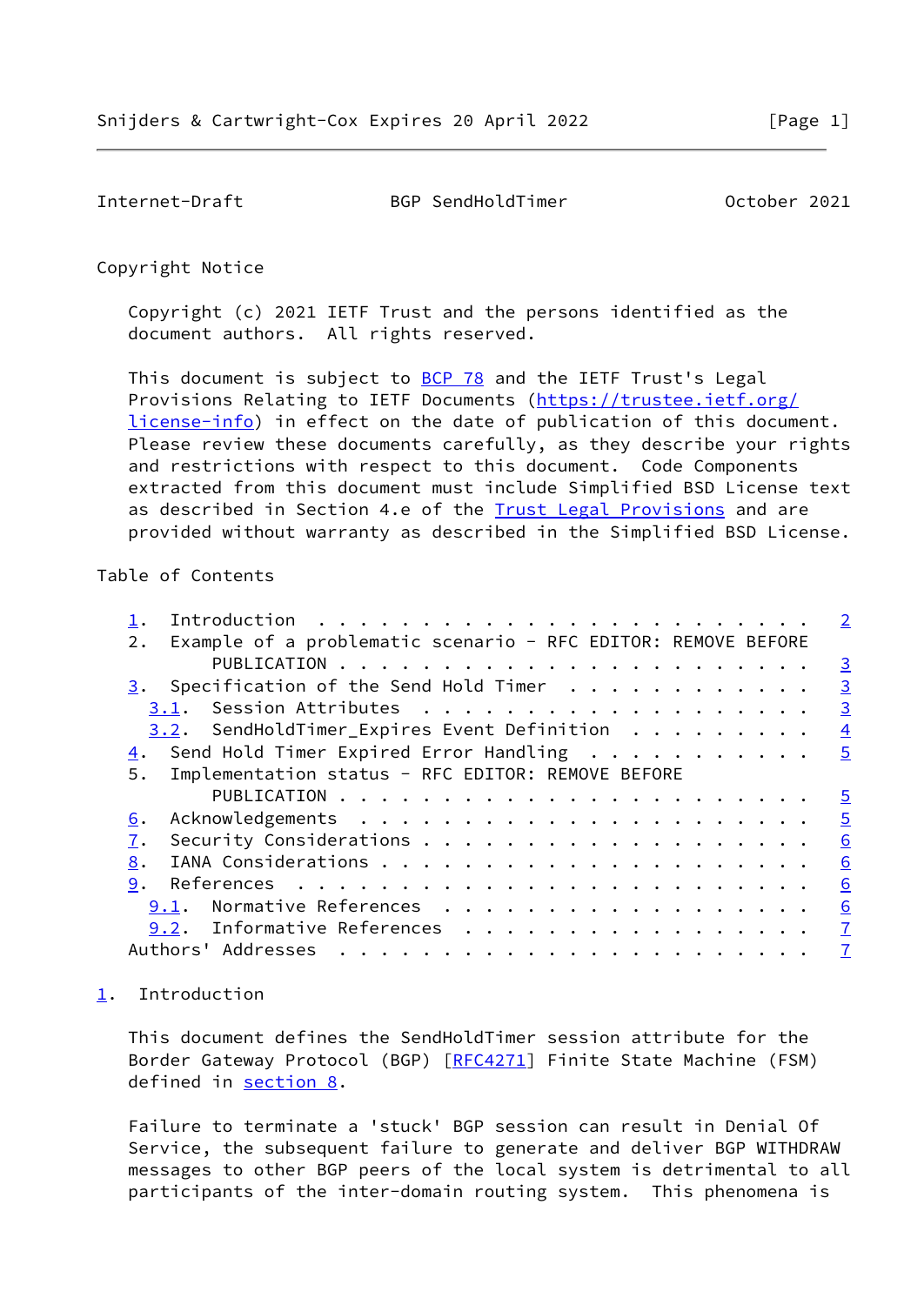<span id="page-1-1"></span>Internet-Draft BGP SendHoldTimer October 2021

Copyright Notice

 Copyright (c) 2021 IETF Trust and the persons identified as the document authors. All rights reserved.

This document is subject to **[BCP 78](https://datatracker.ietf.org/doc/pdf/bcp78)** and the IETF Trust's Legal Provisions Relating to IETF Documents ([https://trustee.ietf.org/](https://trustee.ietf.org/license-info) [license-info](https://trustee.ietf.org/license-info)) in effect on the date of publication of this document. Please review these documents carefully, as they describe your rights and restrictions with respect to this document. Code Components extracted from this document must include Simplified BSD License text as described in Section 4.e of the [Trust Legal Provisions](https://trustee.ietf.org/license-info) and are provided without warranty as described in the Simplified BSD License.

### Table of Contents

|                                                                     | $\overline{2}$           |
|---------------------------------------------------------------------|--------------------------|
| Example of a problematic scenario - RFC EDITOR: REMOVE BEFORE<br>2. |                          |
|                                                                     | $\frac{3}{2}$            |
| 3. Specification of the Send Hold Timer $\dots \dots \dots \dots$   | $\overline{3}$           |
| 3.1.                                                                | $\overline{3}$           |
| $3.2$ . SendHoldTimer_Expires Event Definition                      | $\overline{4}$           |
| $\frac{4}{1}$ . Send Hold Timer Expired Error Handling              | $\overline{5}$           |
| Implementation status - RFC EDITOR: REMOVE BEFORE<br>5.             |                          |
|                                                                     | $\overline{\phantom{0}}$ |
| 6.                                                                  | $\overline{5}$           |
| 7.                                                                  | 6                        |
| 8.                                                                  | 6                        |
| 9.                                                                  | 6                        |
| Normative References<br>9.1.                                        | 6                        |
| 9.2. Informative References                                         | $\overline{1}$           |
| Authors' Addresses                                                  | $\overline{1}$           |

# <span id="page-1-0"></span>[1](#page-1-0). Introduction

 This document defines the SendHoldTimer session attribute for the Border Gateway Protocol (BGP) [[RFC4271](https://datatracker.ietf.org/doc/pdf/rfc4271)] Finite State Machine (FSM) defined in [section 8.](#page-6-0)

 Failure to terminate a 'stuck' BGP session can result in Denial Of Service, the subsequent failure to generate and deliver BGP WITHDRAW messages to other BGP peers of the local system is detrimental to all participants of the inter-domain routing system. This phenomena is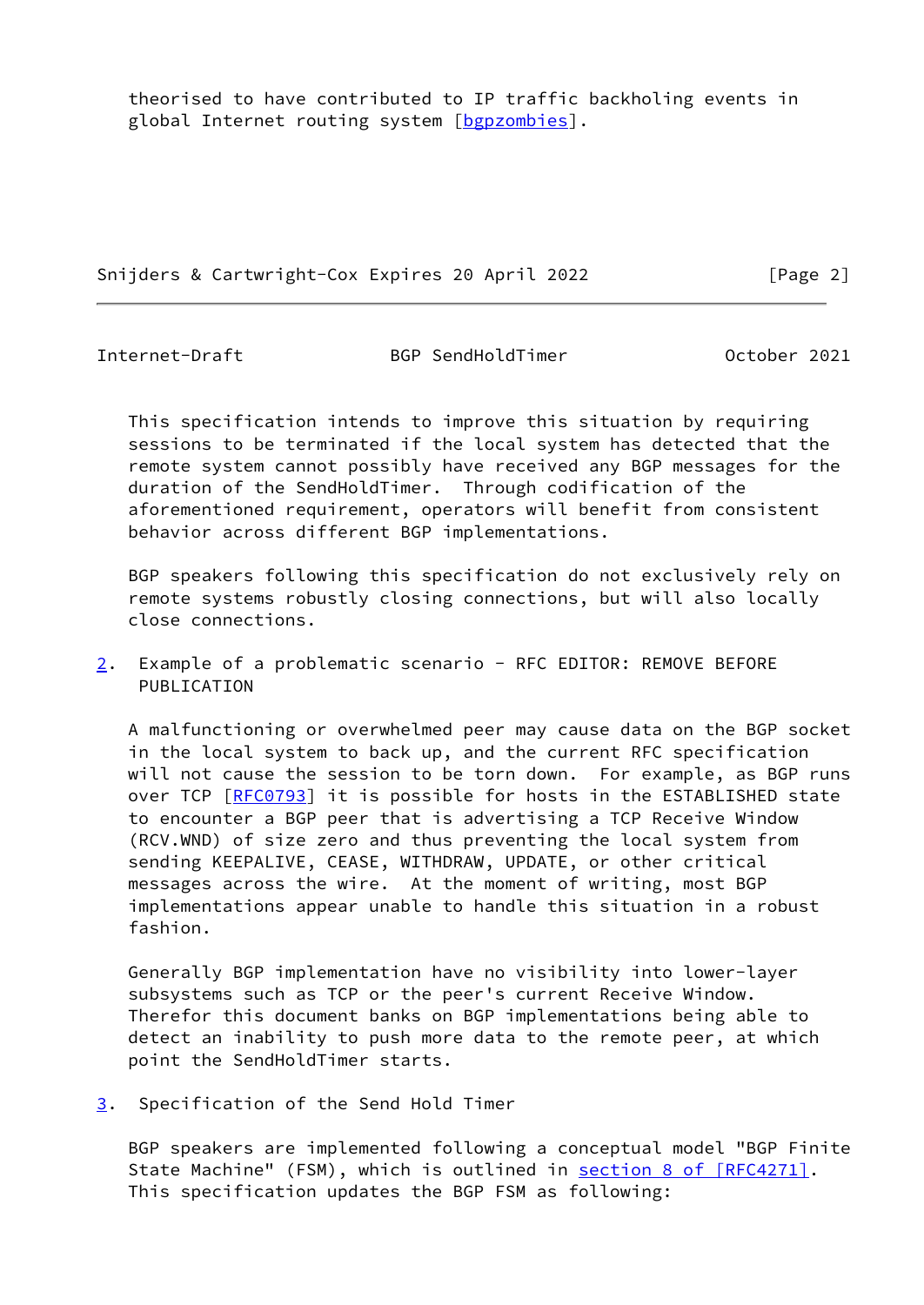theorised to have contributed to IP traffic backholing events in global Internet routing system [\[bgpzombies](#page-6-5)].

Snijders & Cartwright-Cox Expires 20 April 2022 [Page 2]

<span id="page-2-0"></span>Internet-Draft BGP SendHoldTimer October 2021

 This specification intends to improve this situation by requiring sessions to be terminated if the local system has detected that the remote system cannot possibly have received any BGP messages for the duration of the SendHoldTimer. Through codification of the aforementioned requirement, operators will benefit from consistent behavior across different BGP implementations.

 BGP speakers following this specification do not exclusively rely on remote systems robustly closing connections, but will also locally close connections.

<span id="page-2-2"></span>[2](#page-2-2). Example of a problematic scenario - RFC EDITOR: REMOVE BEFORE PUBLICATION

 A malfunctioning or overwhelmed peer may cause data on the BGP socket in the local system to back up, and the current RFC specification will not cause the session to be torn down. For example, as BGP runs over TCP [\[RFC0793](https://datatracker.ietf.org/doc/pdf/rfc0793)] it is possible for hosts in the ESTABLISHED state to encounter a BGP peer that is advertising a TCP Receive Window (RCV.WND) of size zero and thus preventing the local system from sending KEEPALIVE, CEASE, WITHDRAW, UPDATE, or other critical messages across the wire. At the moment of writing, most BGP implementations appear unable to handle this situation in a robust fashion.

 Generally BGP implementation have no visibility into lower-layer subsystems such as TCP or the peer's current Receive Window. Therefor this document banks on BGP implementations being able to detect an inability to push more data to the remote peer, at which point the SendHoldTimer starts.

<span id="page-2-1"></span>[3](#page-2-1). Specification of the Send Hold Timer

 BGP speakers are implemented following a conceptual model "BGP Finite State Machine" (FSM), which is outlined in section [8 of \[RFC4271\]](https://datatracker.ietf.org/doc/pdf/rfc4271#section-8). This specification updates the BGP FSM as following: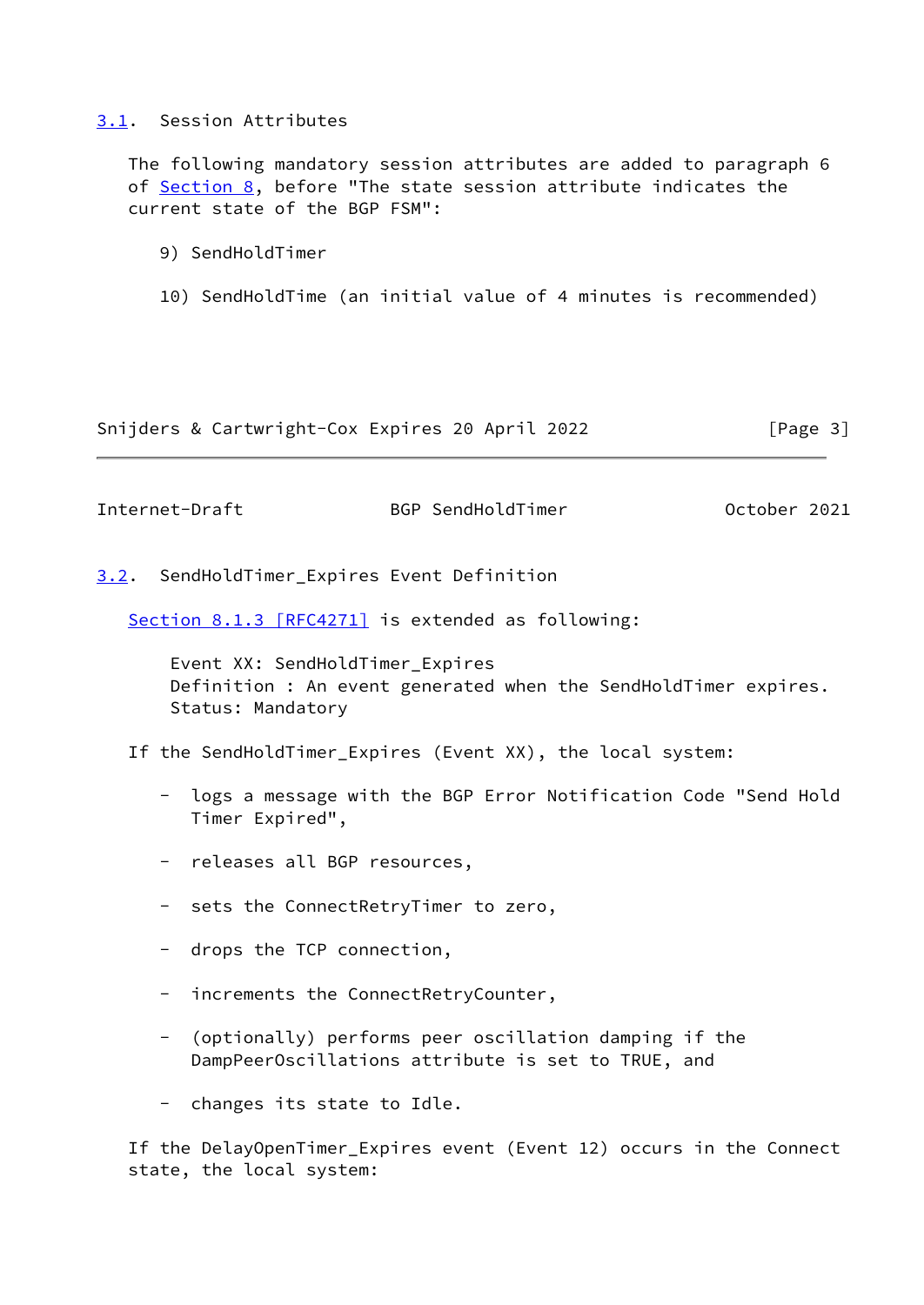## <span id="page-3-0"></span>[3.1](#page-3-0). Session Attributes

 The following mandatory session attributes are added to paragraph 6 of [Section 8,](#page-6-0) before "The state session attribute indicates the current state of the BGP FSM":

- 9) SendHoldTimer
- 10) SendHoldTime (an initial value of 4 minutes is recommended)

Snijders & Cartwright-Cox Expires 20 April 2022 [Page 3]

<span id="page-3-2"></span>Internet-Draft BGP SendHoldTimer October 2021

<span id="page-3-1"></span>[3.2](#page-3-1). SendHoldTimer\_Expires Event Definition

Section [8.1.3 \[RFC4271\]](https://datatracker.ietf.org/doc/pdf/rfc4271#section-8.1.3) is extended as following:

 Event XX: SendHoldTimer\_Expires Definition : An event generated when the SendHoldTimer expires. Status: Mandatory

- If the SendHoldTimer\_Expires (Event XX), the local system:
	- logs a message with the BGP Error Notification Code "Send Hold Timer Expired",
	- releases all BGP resources,
	- sets the ConnectRetryTimer to zero,
	- drops the TCP connection,
	- increments the ConnectRetryCounter,
	- (optionally) performs peer oscillation damping if the DampPeerOscillations attribute is set to TRUE, and
	- changes its state to Idle.

 If the DelayOpenTimer\_Expires event (Event 12) occurs in the Connect state, the local system: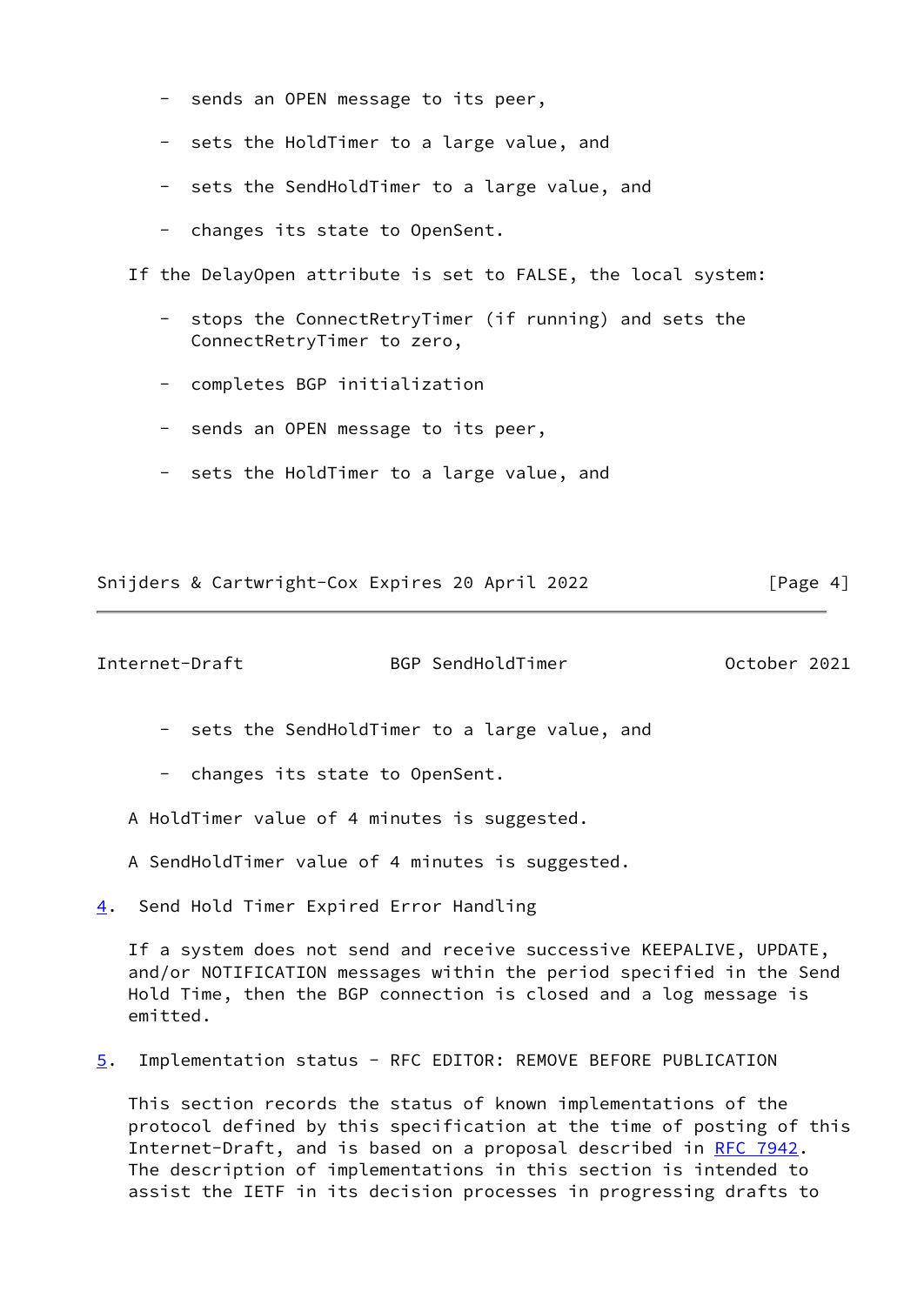- sends an OPEN message to its peer,
- sets the HoldTimer to a large value, and
- sets the SendHoldTimer to a large value, and
- changes its state to OpenSent.

If the DelayOpen attribute is set to FALSE, the local system:

- stops the ConnectRetryTimer (if running) and sets the ConnectRetryTimer to zero,
- completes BGP initialization
- sends an OPEN message to its peer,
- sets the HoldTimer to a large value, and

Snijders & Cartwright-Cox Expires 20 April 2022 [Page 4]

<span id="page-4-1"></span>Internet-Draft BGP SendHoldTimer October 2021

- sets the SendHoldTimer to a large value, and
- changes its state to OpenSent.
- A HoldTimer value of 4 minutes is suggested.
- A SendHoldTimer value of 4 minutes is suggested.
- <span id="page-4-0"></span>[4](#page-4-0). Send Hold Timer Expired Error Handling

 If a system does not send and receive successive KEEPALIVE, UPDATE, and/or NOTIFICATION messages within the period specified in the Send Hold Time, then the BGP connection is closed and a log message is emitted.

<span id="page-4-2"></span>[5](#page-4-2). Implementation status - RFC EDITOR: REMOVE BEFORE PUBLICATION

 This section records the status of known implementations of the protocol defined by this specification at the time of posting of this Internet-Draft, and is based on a proposal described in [RFC 7942](https://datatracker.ietf.org/doc/pdf/rfc7942). The description of implementations in this section is intended to assist the IETF in its decision processes in progressing drafts to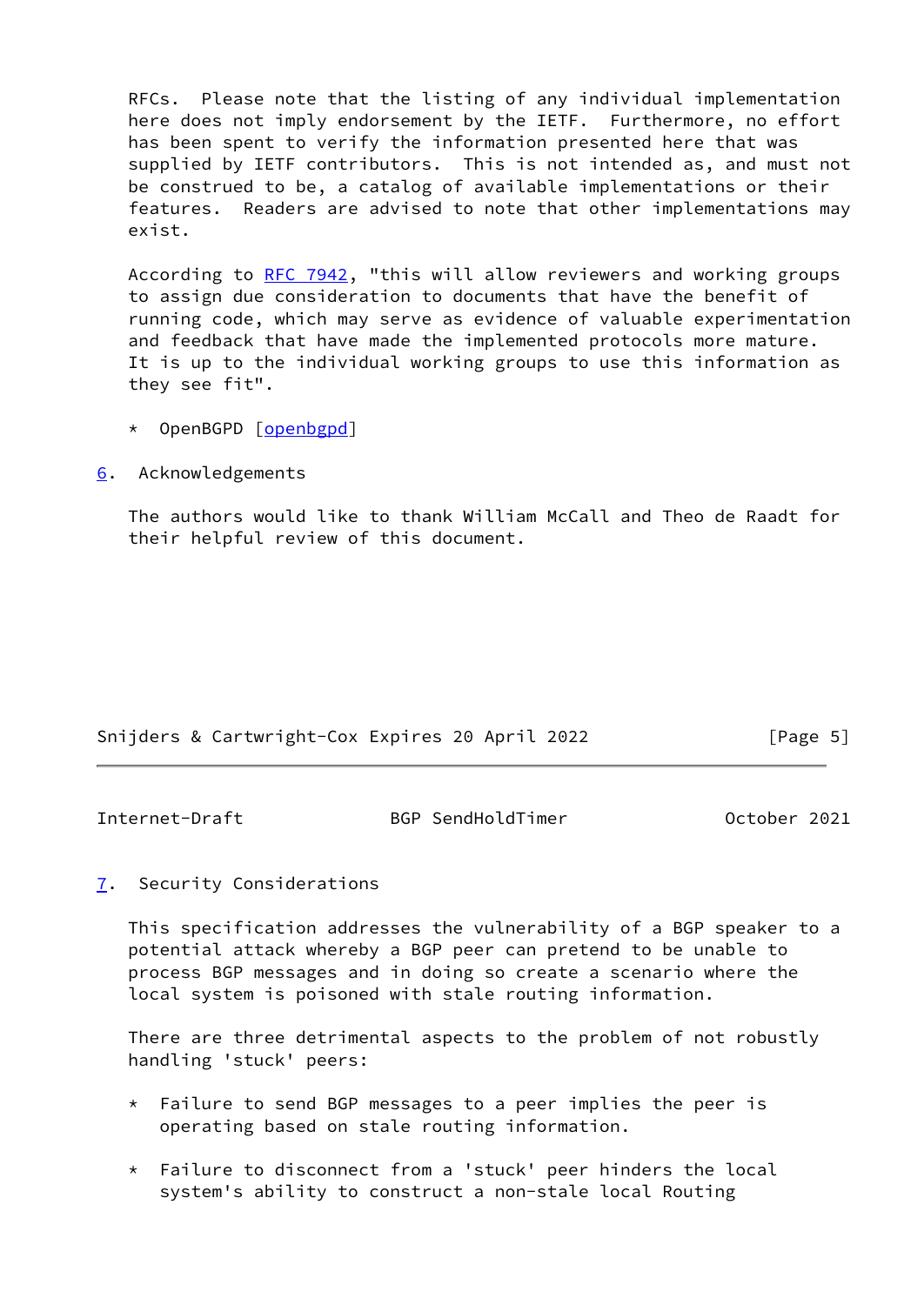RFCs. Please note that the listing of any individual implementation here does not imply endorsement by the IETF. Furthermore, no effort has been spent to verify the information presented here that was supplied by IETF contributors. This is not intended as, and must not be construed to be, a catalog of available implementations or their features. Readers are advised to note that other implementations may exist.

According to [RFC 7942](https://datatracker.ietf.org/doc/pdf/rfc7942), "this will allow reviewers and working groups to assign due consideration to documents that have the benefit of running code, which may serve as evidence of valuable experimentation and feedback that have made the implemented protocols more mature. It is up to the individual working groups to use this information as they see fit".

- \* OpenBGPD [\[openbgpd](#page-7-0)]
- <span id="page-5-0"></span>[6](#page-5-0). Acknowledgements

 The authors would like to thank William McCall and Theo de Raadt for their helpful review of this document.

|  | Snijders & Cartwright-Cox Expires 20 April 2022 |  |  | [Page 5] |  |
|--|-------------------------------------------------|--|--|----------|--|
|  |                                                 |  |  |          |  |

<span id="page-5-2"></span>Internet-Draft BGP SendHoldTimer October 2021

# <span id="page-5-1"></span>[7](#page-5-1). Security Considerations

 This specification addresses the vulnerability of a BGP speaker to a potential attack whereby a BGP peer can pretend to be unable to process BGP messages and in doing so create a scenario where the local system is poisoned with stale routing information.

 There are three detrimental aspects to the problem of not robustly handling 'stuck' peers:

- $*$  Failure to send BGP messages to a peer implies the peer is operating based on stale routing information.
- \* Failure to disconnect from a 'stuck' peer hinders the local system's ability to construct a non-stale local Routing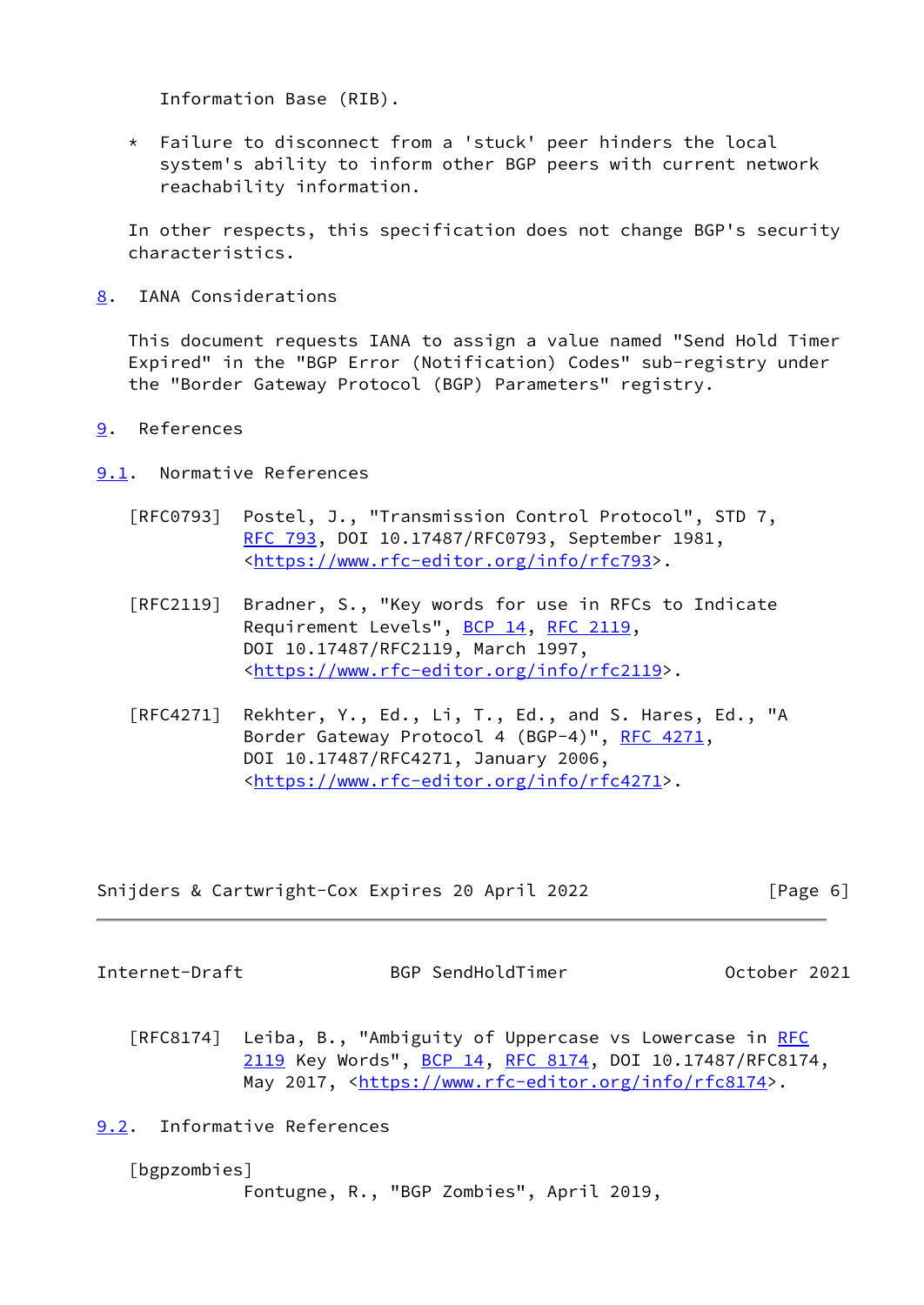Information Base (RIB).

 \* Failure to disconnect from a 'stuck' peer hinders the local system's ability to inform other BGP peers with current network reachability information.

 In other respects, this specification does not change BGP's security characteristics.

<span id="page-6-0"></span>[8](#page-6-0). IANA Considerations

 This document requests IANA to assign a value named "Send Hold Timer Expired" in the "BGP Error (Notification) Codes" sub-registry under the "Border Gateway Protocol (BGP) Parameters" registry.

<span id="page-6-1"></span>[9](#page-6-1). References

<span id="page-6-2"></span>[9.1](#page-6-2). Normative References

- [RFC0793] Postel, J., "Transmission Control Protocol", STD 7, [RFC 793](https://datatracker.ietf.org/doc/pdf/rfc793), DOI 10.17487/RFC0793, September 1981, <<https://www.rfc-editor.org/info/rfc793>>.
- [RFC2119] Bradner, S., "Key words for use in RFCs to Indicate Requirement Levels", [BCP 14](https://datatracker.ietf.org/doc/pdf/bcp14), [RFC 2119](https://datatracker.ietf.org/doc/pdf/rfc2119), DOI 10.17487/RFC2119, March 1997, <[https://www.rfc-editor.org/info/rfc2119>](https://www.rfc-editor.org/info/rfc2119).
- [RFC4271] Rekhter, Y., Ed., Li, T., Ed., and S. Hares, Ed., "A Border Gateway Protocol 4 (BGP-4)", [RFC 4271,](https://datatracker.ietf.org/doc/pdf/rfc4271) DOI 10.17487/RFC4271, January 2006, <[https://www.rfc-editor.org/info/rfc4271>](https://www.rfc-editor.org/info/rfc4271).

Snijders & Cartwright-Cox Expires 20 April 2022 [Page 6]

<span id="page-6-4"></span>Internet-Draft BGP SendHoldTimer October 2021

[RFC8174] Leiba, B., "Ambiguity of Uppercase vs Lowercase in [RFC](https://datatracker.ietf.org/doc/pdf/rfc2119) [2119](https://datatracker.ietf.org/doc/pdf/rfc2119) Key Words", [BCP 14](https://datatracker.ietf.org/doc/pdf/bcp14), [RFC 8174,](https://datatracker.ietf.org/doc/pdf/rfc8174) DOI 10.17487/RFC8174, May 2017, [<https://www.rfc-editor.org/info/rfc8174](https://www.rfc-editor.org/info/rfc8174)>.

<span id="page-6-3"></span>[9.2](#page-6-3). Informative References

<span id="page-6-5"></span>[bgpzombies]

Fontugne, R., "BGP Zombies", April 2019,